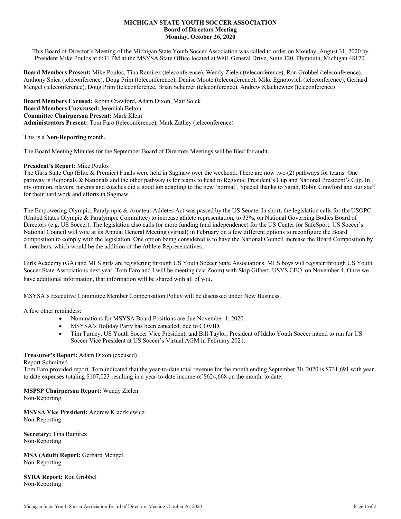### **MICHIGAN STATE YOUTH SOCCER ASSOCIATION Board of Directors Meeting Monday, October 26, 2020**

This Board of Director's Meeting of the Michigan State Youth Soccer Association was called to order on Monday, August 31, 2020 by President Mike Poulos at 6:31 PM at the MSYSA State Office located at 9401 General Drive, Suite 120, Plymouth, Michigan 48170.

**Board Members Present:** Mike Poulos, Tina Ramirez (teleconference), Wendy Zielen (teleconference), Ron Grobbel (teleconference), Anthony Spica (teleconference), Doug Prim (teleconference), Denise Moote (teleconference), Mike Egnotovich (teleconference), Gerhard Mengel (teleconference), Doug Prim (teleconference, Brian Scherzer (teleconference), Andrew Klackiewicz (teleconference)

**Board Members Excused:** Robin Crawford, Adam Dixon, Matt Solek **Board Members Unexcused:** Jeremiah Belton **Committee Chairperson Present:** Mark Klein **Administrators Present:** Tom Faro (teleconference), Mark Zathey (teleconference)

This is a **Non**-**Reporting** month.

The Board Meeting Minutes for the September Board of Directors Meetings will be filed for audit.

## **President's Report:** Mike Poulos

The Girls State Cup (Elite & Premier) Finals were held in Saginaw over the weekend. There are now two (2) pathways for teams. One pathway is Regionals & Nationals and the other pathway is for teams to head to Regional President's Cup and National President's Cup. In my opinion, players, parents and coaches did a good job adapting to the new 'normal'. Special thanks to Sarah, Robin Crawford and our staff for their hard work and efforts in Saginaw.

The Empowering Olympic, Paralympic & Amateur Athletes Act was passed by the US Senate. In short, the legislation calls for the USOPC (United States Olympic & Paralympic Committee) to increase athlete representation, to 33%, on National Governing Bodies Board of Directors (e.g. US Soccer). The legislation also calls for more funding (and independence) for the US Center for SafeSport. US Soccer's National Council will vote at its Annual General Meeting (virtual) in February on a few different options to reconfigure the Board composition to comply with the legislation. One option being considered is to have the National Council increase the Board Composition by 4 members, which would be the addition of the Athlete Representatives.

Girls Academy (GA) and MLS girls are registering through US Youth Soccer State Associations. MLS boys will register through US Youth Soccer State Associations next year. Tom Faro and I will be meeting (via Zoom) with Skip Gilbert, USYS CEO, on November 4. Once we have additional information, that information will be shared with all of you.

MSYSA's Executive Committee Member Compensation Policy will be discussed under New Business.

A few other reminders:

- Nominations for MSYSA Board Positions are due November 1, 2020.
- MSYSA's Holiday Party has been canceled, due to COVID.
- Tim Turney, US Youth Soccer Vice President, and Bill Taylor, President of Idaho Youth Soccer intend to run for US Soccer Vice President at US Soccer's Virtual AGM in February 2021.

# **Treasurer's Report:** Adam Dixon (excused)

### Report Submitted.

Tom Faro provided report. Tom indicated that the year-to-date total revenue for the month ending September 30, 2020 is \$731,691 with year to date expenses totaling \$107,023 resulting in a year-to-date income of \$624,668 on the month, to date.

**MSPSP Chairperson Report:** Wendy Zielen

Non-Reporting

**MSYSA Vice President:** Andrew Klaczkiewicz Non-Reporting

**Secretary:** Tina Ramirez Non-Reporting

**MSA (Adult) Report:** Gerhard Mengel Non-Reporting

**SYRA Report:** Ron Grobbel Non-Reporting